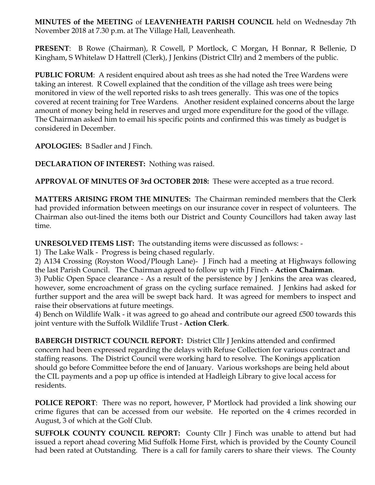**MINUTES of the MEETING** of **LEAVENHEATH PARISH COUNCIL** held on Wednesday 7th November 2018 at 7.30 p.m. at The Village Hall, Leavenheath.

**PRESENT**: B Rowe (Chairman), R Cowell, P Mortlock, C Morgan, H Bonnar, R Bellenie, D Kingham, S Whitelaw D Hattrell (Clerk), J Jenkins (District Cllr) and 2 members of the public.

**PUBLIC FORUM**: A resident enquired about ash trees as she had noted the Tree Wardens were taking an interest. R Cowell explained that the condition of the village ash trees were being monitored in view of the well reported risks to ash trees generally. This was one of the topics covered at recent training for Tree Wardens. Another resident explained concerns about the large amount of money being held in reserves and urged more expenditure for the good of the village. The Chairman asked him to email his specific points and confirmed this was timely as budget is considered in December.

**APOLOGIES:** B Sadler and J Finch.

**DECLARATION OF INTEREST:** Nothing was raised.

**APPROVAL OF MINUTES OF 3rd OCTOBER 2018:** These were accepted as a true record.

**MATTERS ARISING FROM THE MINUTES:** The Chairman reminded members that the Clerk had provided information between meetings on our insurance cover in respect of volunteers. The Chairman also out-lined the items both our District and County Councillors had taken away last time.

**UNRESOLVED ITEMS LIST:** The outstanding items were discussed as follows: -

1) The Lake Walk - Progress is being chased regularly.

2) A134 Crossing (Royston Wood/Plough Lane)- J Finch had a meeting at Highways following the last Parish Council. The Chairman agreed to follow up with J Finch - **Action Chairman**.

3) Public Open Space clearance - As a result of the persistence by J Jenkins the area was cleared, however, some encroachment of grass on the cycling surface remained. J Jenkins had asked for further support and the area will be swept back hard. It was agreed for members to inspect and raise their observations at future meetings.

4) Bench on Wildlife Walk - it was agreed to go ahead and contribute our agreed £500 towards this joint venture with the Suffolk Wildlife Trust - **Action Clerk**.

**BABERGH DISTRICT COUNCIL REPORT:** District Cllr J Jenkins attended and confirmed concern had been expressed regarding the delays with Refuse Collection for various contract and staffing reasons. The District Council were working hard to resolve. The Konings application should go before Committee before the end of January. Various workshops are being held about the CIL payments and a pop up office is intended at Hadleigh Library to give local access for residents.

**POLICE REPORT**: There was no report, however, P Mortlock had provided a link showing our crime figures that can be accessed from our website. He reported on the 4 crimes recorded in August, 3 of which at the Golf Club.

**SUFFOLK COUNTY COUNCIL REPORT:** County Cllr J Finch was unable to attend but had issued a report ahead covering Mid Suffolk Home First, which is provided by the County Council had been rated at Outstanding. There is a call for family carers to share their views. The County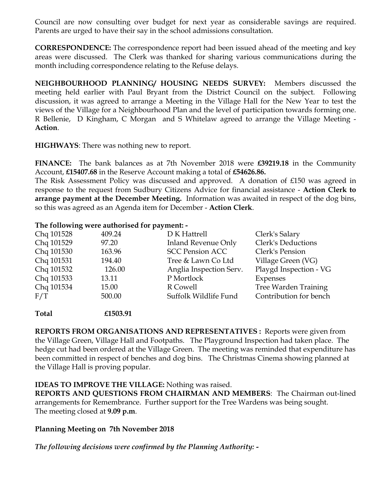Council are now consulting over budget for next year as considerable savings are required. Parents are urged to have their say in the school admissions consultation.

**CORRESPONDENCE:** The correspondence report had been issued ahead of the meeting and key areas were discussed. The Clerk was thanked for sharing various communications during the month including correspondence relating to the Refuse delays.

**NEIGHBOURHOOD PLANNING/ HOUSING NEEDS SURVEY:** Members discussed the meeting held earlier with Paul Bryant from the District Council on the subject. Following discussion, it was agreed to arrange a Meeting in the Village Hall for the New Year to test the views of the Village for a Neighbourhood Plan and the level of participation towards forming one. R Bellenie, D Kingham, C Morgan and S Whitelaw agreed to arrange the Village Meeting - **Action**.

**HIGHWAYS**: There was nothing new to report.

**FINANCE:** The bank balances as at 7th November 2018 were **£39219.18** in the Community Account, **£15407.68** in the Reserve Account making a total of **£54626.86.**

The Risk Assessment Policy was discussed and approved. A donation of £150 was agreed in response to the request from Sudbury Citizens Advice for financial assistance - **Action Clerk to arrange payment at the December Meeting.** Information was awaited in respect of the dog bins, so this was agreed as an Agenda item for December - **Action Clerk**.

## **The following were authorised for payment: -**

| Chq 101528 | 409.24 | D K Hattrell               | Clerk's Salary         |
|------------|--------|----------------------------|------------------------|
| Chq 101529 | 97.20  | <b>Inland Revenue Only</b> | Clerk's Deductions     |
| Chq 101530 | 163.96 | <b>SCC Pension ACC</b>     | Clerk's Pension        |
| Chq 101531 | 194.40 | Tree & Lawn Co Ltd         | Village Green (VG)     |
| Chq 101532 | 126.00 | Anglia Inspection Serv.    | Playgd Inspection - VG |
| Chq 101533 | 13.11  | P Mortlock                 | Expenses               |
| Chq 101534 | 15.00  | R Cowell                   | Tree Warden Training   |
| F/T        | 500.00 | Suffolk Wildlife Fund      | Contribution for bench |

**Total £1503.91**

**REPORTS FROM ORGANISATIONS AND REPRESENTATIVES :** Reports were given from the Village Green, Village Hall and Footpaths. The Playground Inspection had taken place. The hedge cut had been ordered at the Village Green. The meeting was reminded that expenditure has been committed in respect of benches and dog bins. The Christmas Cinema showing planned at the Village Hall is proving popular.

## **IDEAS TO IMPROVE THE VILLAGE:** Nothing was raised.

**REPORTS AND QUESTIONS FROM CHAIRMAN AND MEMBERS**: The Chairman out-lined arrangements for Remembrance. Further support for the Tree Wardens was being sought. The meeting closed at **9.09 p.m**.

## **Planning Meeting on 7th November 2018**

*The following decisions were confirmed by the Planning Authority: -*